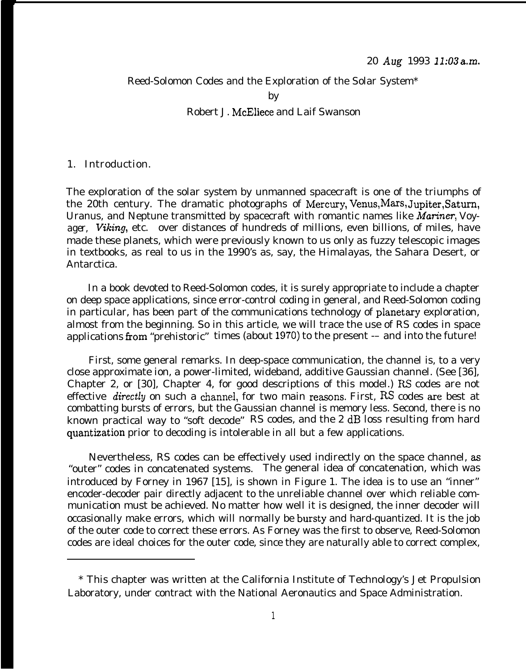# Reed-Solomon Codes and the Exploration of the Solar System\* by Robert J. McEliece and Laif Swanson

### 1. Introduction.

The exploration of the solar system by unmanned spacecraft is one of the triumphs of the 20th century. The dramatic photographs of Mercury, Venus, Mars, Jupiter, Saturn, Uranus, and Neptune transmitted by spacecraft with romantic names like Mariner, *Voyager, Viking,* etc. over distances of hundreds of millions, even billions, of miles, have made these planets, which were previously known to us only as fuzzy telescopic images in textbooks, as real to us in the 1990's as, say, the Himalayas, the Sahara Desert, or Antarctica.

In a book devoted to Reed-Solomon codes, it is surely appropriate to include a chapter on deep space applications, since error-control coding in general, and Reed-Solomon coding in particular, has been part of the communications technology of planetary exploration, almost from the beginning. So in this article, we will trace the use of RS codes in space applications from "prehistoric" times (about  $1970$ ) to the present  $-$  and into the future!

First, some general remarks. In deep-space communication, the channel is, to a very close approximate ion, a power-limited, wideband, additive Gaussian channel. (See [36], Chapter 2, or [30], Chapter 4, for good descriptions of this model.) RS codes are not effective *directly* on such a channel, for two main reasons. First, RS codes are best at combatting bursts of errors, but the Gaussian channel is memory less. Second, there is no known practical way to "soft decode" RS codes, and the 2 dB loss resulting from hard quantization prior to decoding is intolerable in all but a few applications.

Nevertheless, RS codes can be effectively used indirectly on the space channel, as "outer" codes in concatenated systems. The general idea of concatenation, which was introduced by Forney in 1967 [15], is shown in Figure 1. The idea is to use an "inner" encoder-decoder pair directly adjacent to the unreliable channel over which reliable communication must be achieved. No matter how well it is designed, the inner decoder will occasionally make errors, which will normally be bursty and hard-quantized. It is the job of the outer code to correct these errors. As Forney was the first to observe, Reed-Solomon codes are ideal choices for the outer code, since they are naturally able to correct complex,

<sup>\*</sup> This chapter was written at the California Institute of Technology's Jet Propulsion Laboratory, under contract with the National Aeronautics and Space Administration.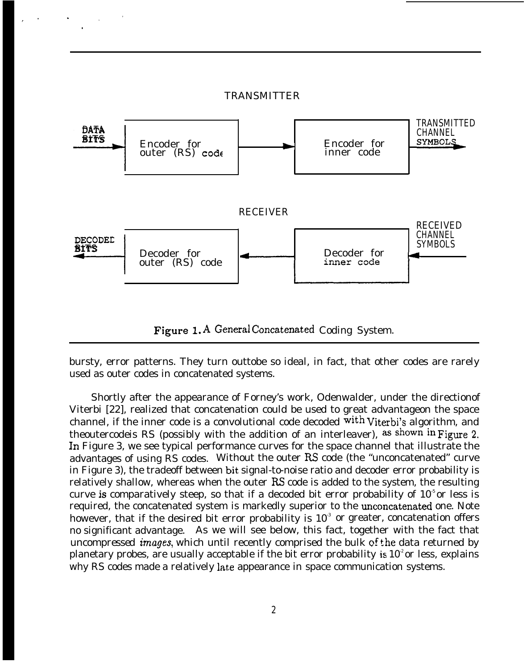

Figure 1. A General Concatenated Coding System.

bursty, error patterns. They turn outtobe so ideal, in fact, that other codes are rarely used as outer codes in concatenated systems.

Shortly after the appearance of Forney's work, Odenwalder, under the directionof Viterbi [22], realized that concatenation could be used to great advantageon the space channel, if the inner code is a convolutional code decoded with viterbi's algorithm, and theoutercodeis RS (possibly with the addition of an interleaver), as shown in Figure 2. ln Figure 3, we see typical performance curves for the space channel that illustrate the advantages of using RS codes. Without the outer RS code (the "unconcatenated" curve in Figure 3), the tradeoff between bit signal-to-noise ratio and decoder error probability is relatively shallow, whereas when the outer RS code is added to the system, the resulting curve is comparatively steep, so that if a decoded bit error probability of  $10<sup>5</sup>$  or less is required, the concatenated system is markedly superior to the unconcatenated one. Note however, that if the desired bit error probability is  $10<sup>3</sup>$  or greater, concatenation offers no significant advantage. As we will see below, this fact, together with the fact that *uncompressed images,* which until recently comprised the bulk of the data returned by planetary probes, are usually acceptable if the bit error probability is  $10<sup>2</sup>$  or less, explains why RS codes made a relatively late appearance in space communication systems.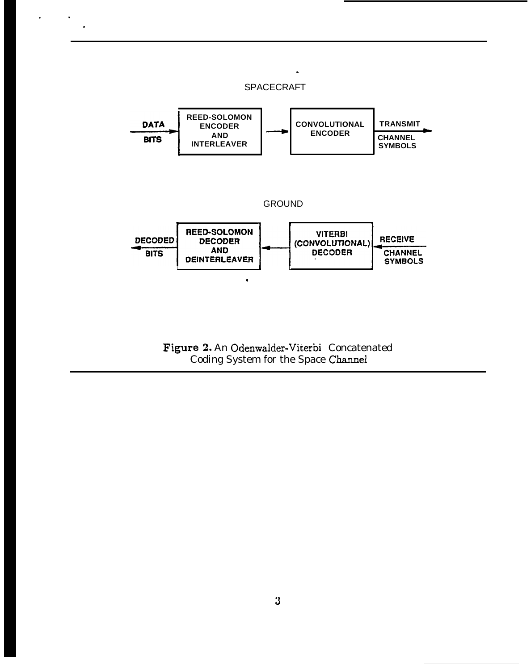

 $\bullet$ 

Figure 2. An Odenwalder-Viterbi Concatenated Coding System for the Space Channel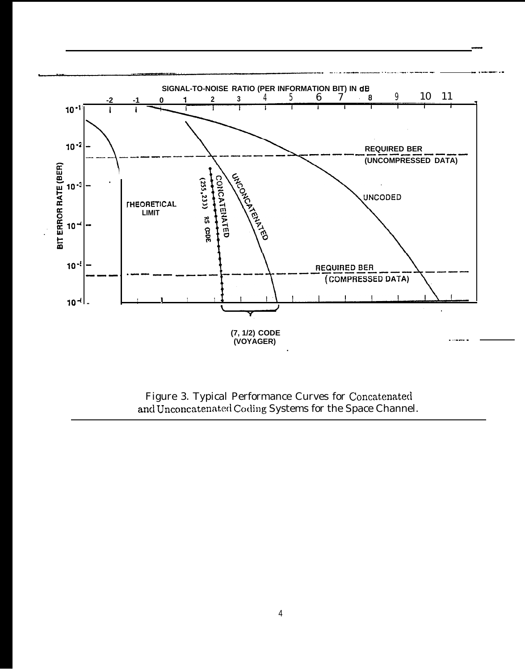

Figure 3. Typical Performance Curves for Concatenated<br>and Unconcatenated Coding Systems for the Space Channel.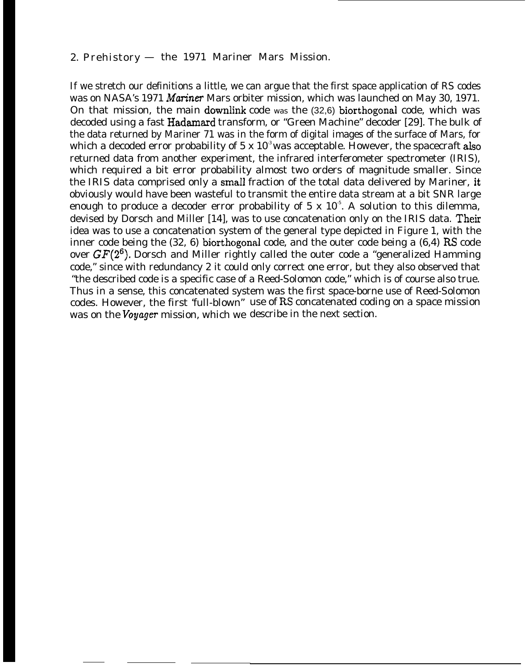# *2.* Prehistory — the 1971 Mariner Mars Mission.

If we stretch our definitions a little, we can argue that the first space application of RS codes was on NASA's 1971 Mariner Mars orbiter mission, which was launched on May 30, 1971. On that mission, the main downlink code was the (32,6) biorthogonal code, which was decoded using a fast Hadamard transform, or "Green Machine" decoder [29]. The bulk of the data returned by Mariner 71 was in the form of digital images of the surface of Mars, for which a decoded error probability of 5 x  $10<sup>3</sup>$  was acceptable. However, the spacecraft also returned data from another experiment, the infrared interferometer spectrometer (IRIS), which required a bit error probability almost two orders of magnitude smaller. Since the IRIS data comprised only a small fraction of the total data delivered by Mariner, it obviously would have been wasteful to transmit the entire data stream at a bit SNR large enough to produce a decoder error probability of 5 x  $10<sup>5</sup>$ . A solution to this dilemma, devised by Dorsch and Miller [14], was to use concatenation only on the IRIS data. Their idea was to use a concatenation system of the general type depicted in Figure 1, with the inner code being the (32, 6) biorthogonal code, and the outer code being a (6,4) RS code over  $GF(2^6)$ . Dorsch and Miller rightly called the outer code a "generalized Hamming" code," since with redundancy 2 it could only correct one error, but they also observed that "the described code is a specific case of a Reed-Solomon code," which is of course also true. Thus in a sense, this concatenated system was the first space-borne use of Reed-Solomon codes. However, the first 'full-blown" use of RS concatenated coding on a space mission was on the *Voyager* mission, which we describe in the next section.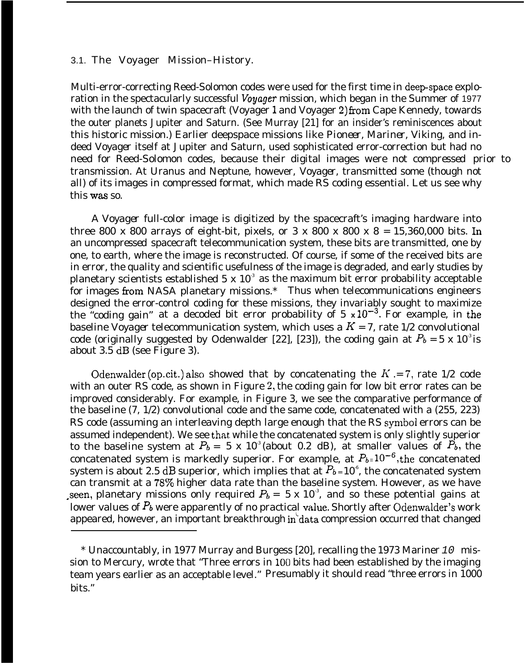#### 3.1. The Voyager Mission–History.

Multi-error-correcting Reed-Solomon codes were used for the first time in deep-space exploration in the spectacularly successful *Voyager* mission, which began in the Summer of 1977 with the launch of twin spacecraft (Voyager 1 and Voyager 2) from Cape Kennedy, towards the outer planets Jupiter and Saturn. (See Murray [21] for an insider's reminiscences about this historic mission.) Earlier deepspace missions like *Pioneer, Mariner, Viking,* and indeed *Voyager* itself at Jupiter and Saturn, used sophisticated error-correction but had no need for Reed-Solomon codes, because their digital images were not *compressed* prior to transmission. At Uranus and Neptune, however, *Voyager,* transmitted some (though not all) of its images in compressed format, which made RS coding essential. Let us see why this was so.

A *Voyager* full-color image is digitized by the spacecraft's imaging hardware into three 800 x 800 arrays of eight-bit, pixels, or  $3 \times 800 \times 800 \times 8 = 15,360,000$  bits. In an *uncompressed* spacecraft telecommunication system, these bits are transmitted, one by one, to earth, where the image is reconstructed. Of course, if some of the received bits are in error, the quality and scientific usefulness of the image is degraded, and early studies by planetary scientists established  $5 \times 10^3$  as the maximum bit error probability acceptable for images from NASA planetary missions.\* Thus when telecommunications engineers designed the error-control coding for these missions, they invariably sought to maximize the "coding gain" at a decoded bit error probability of 5  $\times 10^{-3}$ . For example, in the baseline *Voyager* telecommunication system, which uses a  $K = 7$ , rate 1/2 convolutional code (originally suggested by Odenwalder [22], [23]), the coding gain at  $P_b = 5 \times 10^3$  is about 3.5 dB (see Figure 3).

Odenwalder (op.cit.) also showed that by concatenating the  $K = 7$ , rate 1/2 code with an outer RS code, as shown in Figure 2, the coding gain for low bit error rates can be improved considerably. For example, in Figure 3, we see the comparative performance of the baseline (7, 1/2) convolutional code and the same code, concatenated with a (255, 223) RS code (assuming an interleaving depth large enough that the RS symbol errors can be assumed independent). We see that while the concatenated system is only slightly superior to the baseline system at  $P_b = 5 \times 10^3$  (about 0.2 dB), at smaller values of  $\overline{P}_b$ , the concatenated system is markedly superior. For example, at  $P_{b=10^{-6}$ , the concatenated system is about 2.5 dB superior, which implies that at  $P_{b=10^{\circ}}$ , the concatenated system can transmit at a 78% higher data rate than the baseline system. However, as we have seen, planetary missions only required  $P_b = 5 \times 10^3$ , and so these potential gains at lower values of  $P_b$  were apparently of no practical value. Shortly after Odenwalder's work appeared, however, an important breakthrough in data compression occurred that changed

<sup>\*</sup> Unaccountably, in 1977 Murray and Burgess [20], recalling the 1973 Mariner 10 mission to Mercury, wrote that "Three errors in 100 bits had been established by the imaging team years earlier as an acceptable level." Presumably it should read "three errors in 1000 bits."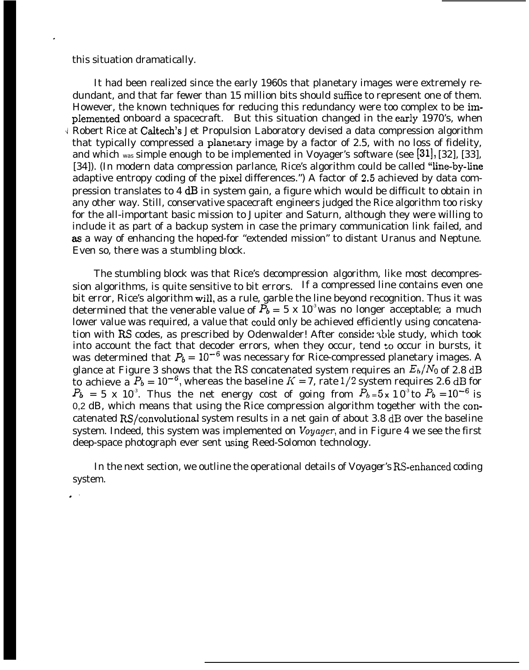this situation dramatically.

.

**J** Robert Rice at Caltech's Jet Propulsion Laboratory devised a data compression algorithm It had been realized since the early 1960s that planetary images were extremely redundant, and that far fewer than 15 million bits should suffice to represent one of them. However, the known techniques for reducing this redundancy were too complex to be implemented onboard a spacecraft. But this situation changed in the early 1970's, when that typically compressed a pianetary image by a factor of 2.5, with no loss of fidelity, and which was simple enough to be implemented in Voyager's software (see [31], [32], [33], [34]). (In modern data compression parlance, Rice's algorithm could be called "line-by-line" adaptive entropy coding of the pixel differences.") A factor of 2.5 achieved by data compression translates to 4 dB in system gain, a figure which would be difficult to obtain in any other way. Still, conservative spacecraft engineers judged the Rice algorithm too risky for the all-important basic mission to Jupiter and Saturn, although they were willing to include it as part of a backup system in case the primary communication link failed, and as a way of enhancing the hoped-for "extended mission" to distant Uranus and Neptune. Even so, there was a stumbling block.

The stumbling block was that Rice's *decompression* algorithm, like most decompression algorithms, is quite sensitive to bit errors. If a compressed line contains even one bit error, Rice's algorithm will, as a rule, garble the line beyond recognition. Thus it was determined that the venerable value of  $\tilde{P_b} = 5 \times 10^3$  was no longer acceptable; a much lower value was required, a value that could only be achieved efficiently using concatenation with RS codes, as prescribed by Odenwalder! After conside: able study, which took into account the fact that decoder errors, when they occur, tend to occur in bursts, it was determined that  $P_b = 10^{-6}$  was necessary for Rice-compressed planetary images. A glance at Figure 3 shows that the RS concatenated system requires an  $E_b/N_0$  of 2.8 dB to achieve a  $P_b = 10^{-6}$ , whereas the baseline  $K = 7$ , rate 1/2 system requires 2.6 dB for  $P_b$  = 5 x 10<sup>3</sup>. Thus the net energy cost of going from  $P_b$ =5x 10<sup>3</sup> to  $P_b$ =10<sup>-6</sup> is 0,2 dB, which means that using the  $R$ ice compression algorithm together with the concatenated RS/convolutional system results in a net gain of about 3.8 dB over the baseline system. Indeed, this system was implemented on *Voyager,* and in Figure 4 we see the first deep-space photograph ever sent using Reed-Solomon technology.

In the next section, we outline the operational details of *Voyager's* RS-enhanced coding system. .,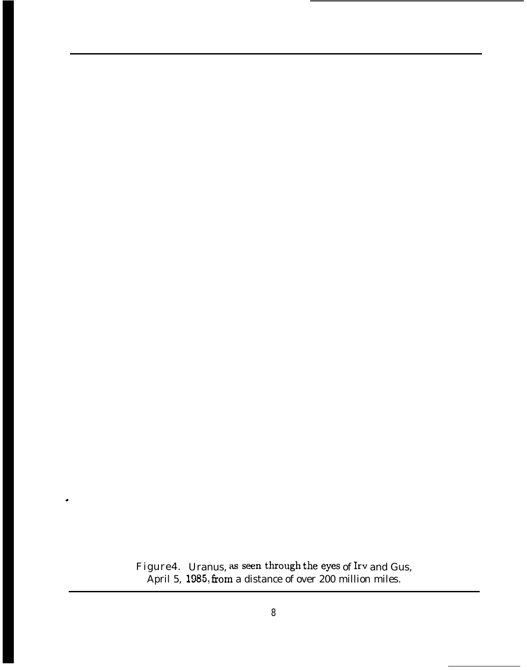Figure4. April 5, Uranus, as seen through the eyes of Irv and Gus,  $1985,$  from a distance of over 200 million miles.

.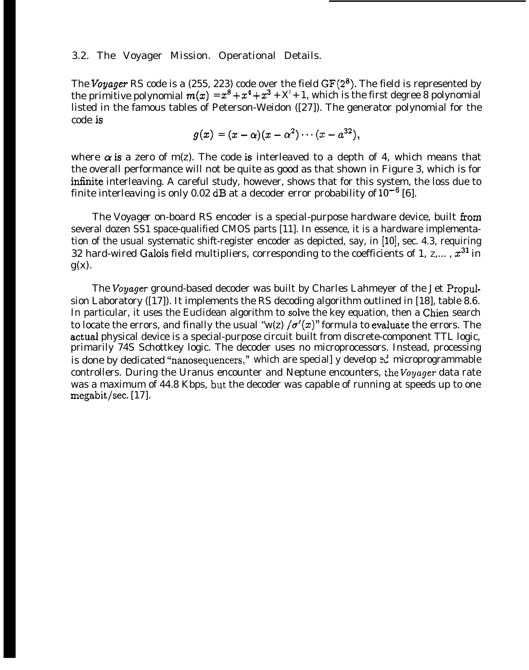#### 3.2. The Voyager Mission. Operational Details.

The Voyager RS code is a (255, 223) code over the field  $GF(2^8)$ . The field is represented by the primitive polynomial  $m(x) = x^8 + x^4 + x^3 + X^2 + 1$ , which is the first degree 8 polynomial listed in the famous tables of Peterson-Weidon ([27]). The generator polynomial for the code is

$$
g(x) = (x - \alpha)(x - \alpha^2) \cdots (x - \alpha^{32}),
$$

where  $\alpha$  is a zero of m(z). The code is interleaved to a depth of 4, which means that the overall performance will not be quite as good as that shown in Figure 3, which is for infinite interleaving. A careful study, however, shows that for this system, the loss due to finite interleaving is only 0.02 dB at a decoder error probability of  $10^{-6}$  [6].

The *Voyager* on-board RS encoder is a special-purpose hardware device, built from several dozen SS1 space-qualified CMOS parts [11]. In essence, it is a hardware implementation of the usual systematic shift-register encoder as depicted, say, in [10], sec. 4.3, requiring 32 hard-wired Galois field multipliers, corresponding to the coefficients of 1,  $z$ ,...,  $x^{31}$  in  $g(x)$ .

The *Voyager* ground-based decoder was built by Charles Lahmeyer of the Jet Propulsion Laboratory ([17]). It implements the RS decoding algorithm outlined in [18], table 8.6. In particular, it uses the Euclidean algorithm to solve the key equation, then a Chien search to locate the errors, and finally the usual "w(z)  $\sigma'(x)$ " formula to evaluate the errors. The actual physical device is a special-purpose circuit built from discrete-component TTL logic, primarily 74S Schottkey logic. The decoder uses no microprocessors. Instead, processing is done by dedicated "nanosequencers," which are speciall y develop  $e^d$  microprogrammable controllers. During the Uranus encounter and Neptune encounters, the *Voyager* data rate was a maximum of 44.8 Kbps, but the decoder was capable of running at speeds up to one  ${}_{\text{megabit/sec.} [17]}.$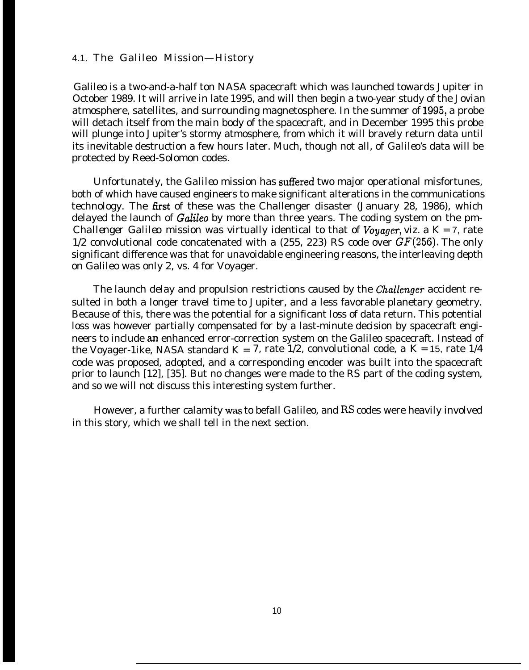#### 4.1. The Galileo Mission—History

Galileo is a two-and-a-half ton NASA spacecraft which was launched towards Jupiter in October 1989. It will arrive in late 1995, and will then begin a two-year study of the Jovian atmosphere, satellites, and surrounding magnetosphere. In the summer of 1995, a probe will detach itself from the main body of the spacecraft, and in December 1995 this probe will plunge into Jupiter's stormy atmosphere, from which it will bravely return data until its inevitable destruction a few hours later. Much, though not all, of *Galileo's* data will be protected by Reed-Solomon codes.

Unfortunately, the *Galileo* mission has suffered two major operational misfortunes, both of which have caused engineers to make significant alterations in the communications technology. The first of these was the Challenger disaster (January 28, 1986), which delayed the launch of *Galileo* by more than three years. The coding system on the pm-*Challenger Galileo* mission was virtually identical to that of *Voyager,* viz. a *K =* 7, rate 1/2 convolutional code concatenated with a  $(255, 223)$  RS code over  $GF(256)$ . The only significant difference was that for unavoidable engineering reasons, the interleaving depth on Galileo was only 2, vs. 4 for Voyager.

The launch delay and propulsion restrictions caused by the *Challenger* accident resulted in both a longer travel time to Jupiter, and a less favorable planetary geometry. Because of this, there was the potential for a significant loss of data return. This potential loss was however partially compensated for by a last-minute decision by spacecraft engineers to include an enhanced error-correction system on the Galileo spacecraft. Instead of the Voyager-1ike, NASA standard K = 7, rate  $1/2$ , convolutional code, a  $K = 15$ , rate  $1/4$ code was proposed, adopted, and a corresponding encoder was built into the spacecraft prior to launch [12], [35]. But no changes were made to the RS part of the coding system, and so we will not discuss this interesting system further.

However, a further calamity was to befall Galileo, and RS codes were heavily involved in this story, which we shall tell in the next section.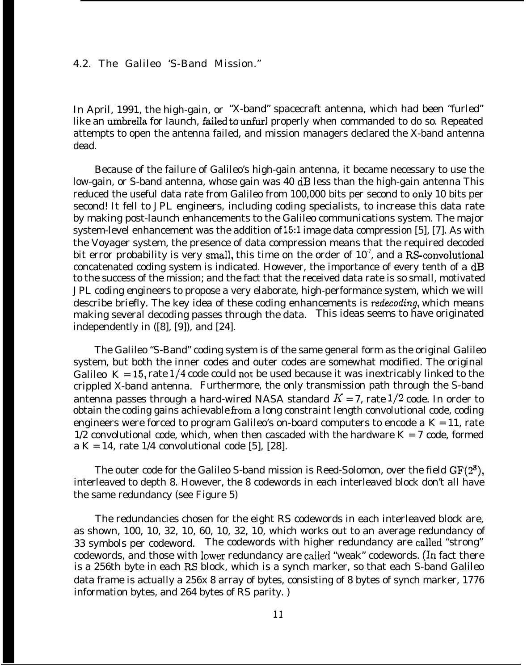4.2. The Galileo 'S-Band Mission."

In April, 1991, the high-gain, or "X-band" spacecraft antenna, which had been "furled" like an umbrella for launch, failed to unfurl properly when commanded to do so. Repeated attempts to open the antenna failed, and mission managers declared the X-band antenna dead.

Because of the failure of Galileo's high-gain antenna, it became necessary to use the low-gain, or S-band antenna, whose gain was 40 dB less than the high-gain antenna This reduced the useful data rate from Galileo from 100,000 bits per second to only 10 bits per second! It fell to JPL engineers, including coding specialists, to increase this data rate by making post-launch enhancements to the Galileo communications system. The major system-level enhancement was the addition of 15:1 image data compression [5], [7]. As with the Voyager system, the presence of data compression means that the required decoded bit error probability is very small, this time on the order of  $10^7$ , and a RS-convolutional concatenated coding system is indicated. However, the importance of every tenth of a dB to the success of the mission; and the fact that the received data rate is so small, motivated JPL coding engineers to propose a very elaborate, high-performance system, which we will describe briefly. The key idea of these coding enhancements is *redecoding,* which means making several decoding passes through the data. This ideas seems to have originated independently in ([8], [9]), and [24].

The Galileo "S-Band" coding system is of the same general form as the original Galileo system, but both the inner codes and outer codes are somewhat modified. The original Galileo  $K = 15$ , rate  $1/4$  code could not be used because it was inextricably linked to the crippled X-band antenna. Furthermore, the only transmission path through the S-band antenna passes through a hard-wired NASA standard  $K = 7$ , rate 1/2 code. In order to obtain the coding gains achievable from a long constraint length convolutional code, coding engineers were forced to program Galileo's on-board computers to encode a *K =* 11, rate 1/2 convolutional code, which, when then cascaded with the hardware  $K = 7$  code, formed a  $K = 14$ , rate 1/4 convolutional code [5], [28].

The outer code for the Galileo S-band mission is Reed-Solomon, over the field  $GF(2^8)$ , interleaved to depth 8. However, the 8 codewords in each interleaved block don't all have the same redundancy (see Figure 5)

The redundancies chosen for the eight RS codewords in each interleaved block are, as shown, 100, 10, 32, 10, 60, 10, 32, 10, which works out to an average redundancy of 33 symbols per codeword. The codewords with higher redundancy are called "strong" codewords, and those with lower redundancy are called "weak" codewords. (In fact there is a 256th byte in each RS block, which is a synch marker, so that each S-band Galileo data frame is actually a 256x 8 array of bytes, consisting of 8 bytes of synch marker, 1776 information bytes, and 264 bytes of RS parity. )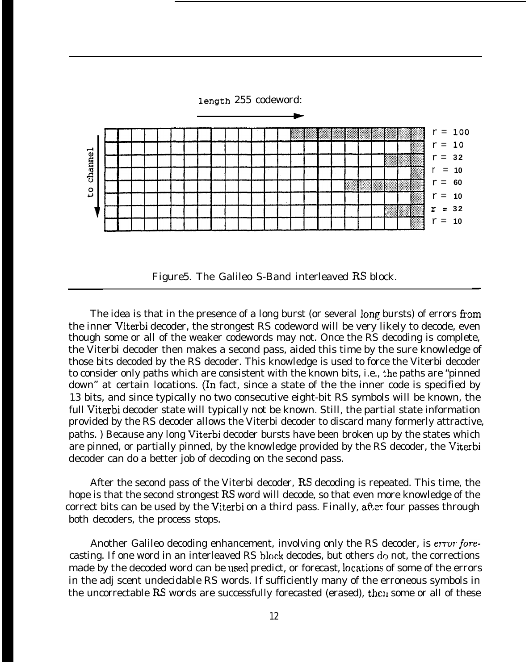

Figure5. The Galileo S-Band interleaved RS block.

—

The idea is that in the presence of a long burst (or several long bursts) of errors from the inner Viterbi decoder, the strongest RS codeword will be very likely to decode, even though some or all of the weaker codewords may not. Once the RS decoding is complete, the Viterbi decoder then makes a second pass, aided this time by the sure knowledge of those bits decoded by the RS decoder. This knowledge is used to force the Viterbi decoder to consider only paths which are consistent with the known bits, i.e., the paths are "pinned down" at certain locations. (In fact, since a state of the the inner code is specified by 13 bits, and since typically no two consecutive eight-bit RS symbols will be known, the full Viterbi decoder state will typically not be known. Still, the partial state information provided by the RS decoder allows the Viterbi decoder to discard many formerly attractive, paths. ) Because any long Viterbi decoder bursts have been broken up by the states which are pinned, or partially pinned, by the knowledge provided by the RS decoder, the Viterbi decoder can do a better job of decoding on the second pass.

After the second pass of the Viterbi decoder, RS decoding is repeated. This time, the hope is that the second strongest RS word will decode, so that even more knowledge of the correct bits can be used by the Viterbi on a *third* pass. Finally, after four passes through both decoders, the process stops.

Another Galileo decoding enhancement, involving only the RS decoder, is error fore*casting.* If one word in an interleaved RS block decodes, but others do not, the corrections made by the decoded word can be used predict, or *forecast*, locations of some of the errors in the adj scent undecidable RS words. If sufficiently many of the erroneous symbols in the uncorrectable RS words are successfully forecasted (erased), then some or all of these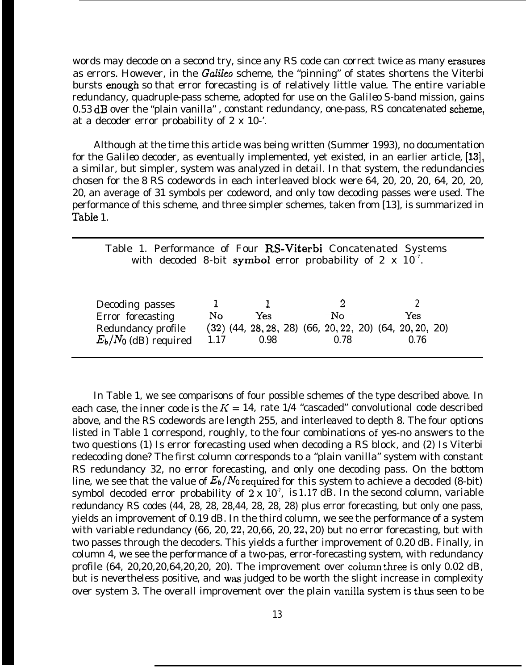words may decode on a second try, since any RS code can correct twice as many erasures as errors. However, in the *Galileo* scheme, the "pinning" of states shortens the Viterbi bursts enough so that *error* forecasting is of relatively little value. The entire variable redundancy, quadruple-pass scheme, adopted for use on the *Galileo* S-band mission, gains 0.53 dB over the "plain vanilla", constant redundancy, one-pass, RS concatenated scheme, at a decoder error probability of 2 x 10-'.

Although at the time this article was being written (Summer 1993), no documentation for the *Galileo* decoder, as eventually implemented, yet existed, in an earlier article, [13], a similar, but simpler, system was analyzed in detail. In that system, the redundancies chosen for the 8 RS codewords in each interleaved block were 64, 20, 20, 20, 64, 20, *20, 20, an* average of 31 symbols per codeword, and only tow decoding passes were used. The performance of this scheme, and three simpler schemes, taken from [13], is summarized in Table 1.

| Table 1. Performance of Four RS-Viterbi Concatenated Systems<br>with decoded 8-bit symbol error probability of 2 $\times$ 10 <sup>7</sup> . |                |      |                                                                 |      |
|---------------------------------------------------------------------------------------------------------------------------------------------|----------------|------|-----------------------------------------------------------------|------|
|                                                                                                                                             |                |      |                                                                 |      |
|                                                                                                                                             |                |      |                                                                 |      |
| Decoding passes                                                                                                                             |                |      |                                                                 |      |
| Error forecasting                                                                                                                           | N <sub>o</sub> | Yes  | No                                                              | Yes  |
| Redundancy profile                                                                                                                          |                |      | $(32)$ $(44, 28, 28, 28)$ $(66, 20, 22, 20)$ $(64, 20, 20, 20)$ |      |
| $E_b/N_0$ (dB) required                                                                                                                     | 1 1 7          | 0.98 | 0.78                                                            | 0.76 |

In Table 1, we see comparisons of four possible schemes of the type described above. In each case, the inner code is the  $K = 14$ , rate 1/4 "cascaded" convolutional code described above, and the RS codewords are length 255, and interleaved to depth 8. The four options listed in Table 1 correspond, roughly, to the four combinations of yes-no answers to the two questions (1) Is error forecasting used when decoding a RS block, and (2) Is Viterbi redecoding done? The first column corresponds to a "plain vanilla" system with constant RS redundancy 32, no error forecasting, and only one decoding pass. On the bottom line, we see that the value of  $E_b/N_0$  required for this system to achieve a decoded (8-bit) symbol decoded error probability of  $2 \times 10^7$ , is 1.17 dB. In the second column, variable redundancy RS codes (44, 28, 28, 28,44, 28, 28, 28) plus error forecasting, but only one pass, yields an improvement of 0.19 dB. In the third column, we see the performance of a system with variable redundancy (66, 20, 22, 20,66, 20, 22, 20) but no error forecasting, but with two passes through the decoders. This yields a further improvement of 0.20 dB. Finally, in column 4, we see the performance of a two-pas, error-forecasting system, with redundancy profile (64, 20,20,20,64,20,20, 20). The improvement over column three is only 0.02 dB, but is nevertheless positive, and was judged to be worth the slight increase in complexity over system 3. The overall improvement over the plain vanilla system is thus seen to be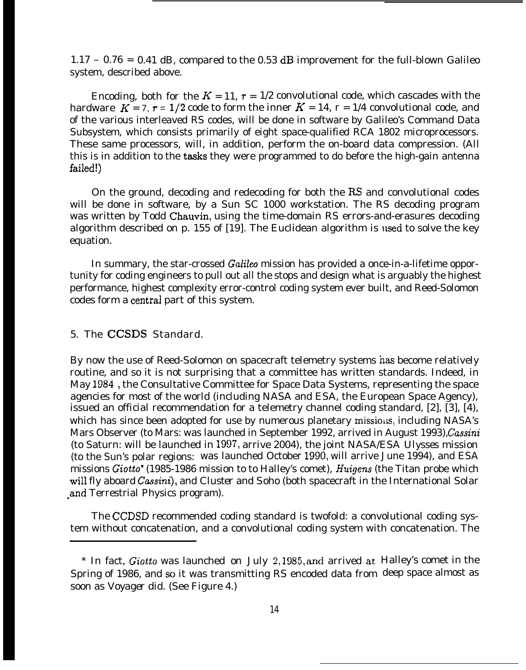$1.17 - 0.76 = 0.41$  dB, compared to the 0.53 dB improvement for the full-blown Galileo system, described above.

Encoding, both for the  $K = 11$ ,  $r = 1/2$  convolutional code, which cascades with the hardware  $K = 7$ ,  $r = 1/2$  code to form the inner  $K = 14$ ,  $r = 1/4$  convolutional code, and of the various interleaved RS codes, will be done in software by Galileo's Command Data Subsystem, which consists primarily of eight space-qualified RCA 1802 microprocessors. These same processors, will, in addition, perform the on-board data compression. (All this is in addition to the tasks they were programmed to do before the high-gain antenna failed!)

On the ground, decoding and redecoding for both the RS and convolutional codes will be done in software, by a Sun SC 1000 workstation. The RS decoding program was written by Todd Chauvin, using the time-domain RS errors-and-erasures decoding algorithm described on p. 155 of  $[19]$ . The Euclidean algorithm is used to solve the key equation.

In summary, the star-crossed Galileo mission has provided a once-in-a-lifetime opportunity for coding engineers to pull out all the stops and design what is arguably the highest performance, highest complexity error-control coding system ever built, and Reed-Solomon codes form a centrai part of this system.

## 5. The CCSDS Standard.

By now the use of Reed-Solomon on spacecraft telemetry systems has become relatively routine, and so it is not surprising that a committee has written standards. Indeed, in May 1984, the Consultative Committee for Space Data Systems, representing the space agencies for most of the world (including NASA and ESA, the European Space Agency), issued an official recommendation for a telemetry channel coding standard, [2], [3], [4), which has since been adopted for use by numerous planetary missions, including NASA's Mars Observer (to Mars: was launched in September 1992, arrived in August 1993), Cassini (to Saturn: will be launched in 1997, arrive 2004), the joint NASA/ESA *Ulysses* mission (to the Sun's polar regions: was launched October 1990, will arrive June 1994), and ESA missions Giotto" (1985-1986 mission to to Halley's comet), *Huigens* (the Titan probe which will fly aboard *Cassini),* and *Cluster* and *Soho* (both spacecraft in the International Solar -and Terrestrial Physics program).

The CCDSD recommended coding standard is twofold: a convolutional coding system without concatenation, and a convolutional coding system with concatenation. The

<sup>\*</sup> In fact, *Giotto was* launched on July 2,1985, and arrived at Halley's comet in the Spring of 1986, and so it was transmitting RS encoded data from deep space almost assoon as *Voyager* did. (See Figure 4.)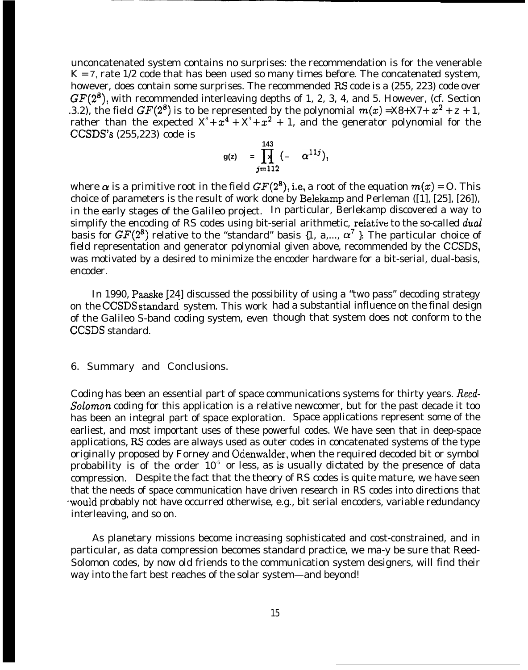unconcatenated system contains no surprises: the recommendation is for the venerable  $K = 7$ , rate 1/2 code that has been used so many times before. The *concatenated* system, however, does contain some surprises. The recommended RS code is a (255, 223) code over  $GF(2^8)$ , with recommended interleaving depths of 1, 2, 3, 4, and 5. However, (cf. Section .3.2), the field  $GF(2^8)$  is to be represented by the polynomial  $m(x) = X8+X7+ x^2 + z + 1$ , rather than the expected  $X^* + x^4 + X^* + x^2 + 1$ , and the generator polynomial for the CCSDS'S (255,223) code is

$$
g(z) = \prod_{j=112}^{143} (-\alpha^{11j}),
$$

where  $\alpha$  is a primitive root in the field  $GF(2^8)$ , i.e, a root of the equation  $m(x) = 0$ . This choice of parameters is the result of work done by Belekamp and Perleman ([1], [25], [26]), in the early stages of the Galileo project. In particular, Berlekamp discovered a way to simplify the encoding of RS codes using bit-serial arithmetic, relative to the so-called dual *basis* for  $GF(2^8)$  relative to the "standard" basis  $\{1, a,..., \alpha^7\}$ . The particular choice of field representation and generator polynomial given above, recommended by the CCSDS, was motivated by a desired to minimize the encoder hardware for a bit-serial, dual-basis, encoder.

In 1990, Paaske [24] discussed the possibility of using a "two pass" decoding strategy on the CCSDS standard system. This work had a substantial influence on the final design of the Galileo S-band coding system, even though that system does not conform to the CCSDS standard.

#### 6. Summary and Conclusions.

Coding has been an essential part of space communications systems for thirty years. *Recd-Sofomon* coding for this application is a relative newcomer, but for the past decade it too has been an integral part of space exploration. Space applications represent some of the earliest, and most important uses of these powerful codes. We have seen that in deep-space applications, RS codes are always used as outer codes in concatenated systems of the type originally proposed by Forney and Odenwalder, when the required decoded bit or symbol probability is of the order  $10<sup>5</sup>$  or less, as is usually dictated by the presence of data compression. Despite the fact that the theory of RS codes is quite mature, we have seen that the needs of space communication have driven research in RS codes into directions that -would probably not have occurred otherwise, e.g., bit serial encoders, variable redundancy interleaving, and so on.

As planetary missions become increasing sophisticated and cost-constrained, and in particular, as data compression becomes standard practice, we ma-y be sure that Reed-Solomon codes, by now old friends to the communication system designers, will find their way into the fart best reaches of the solar system—and beyond!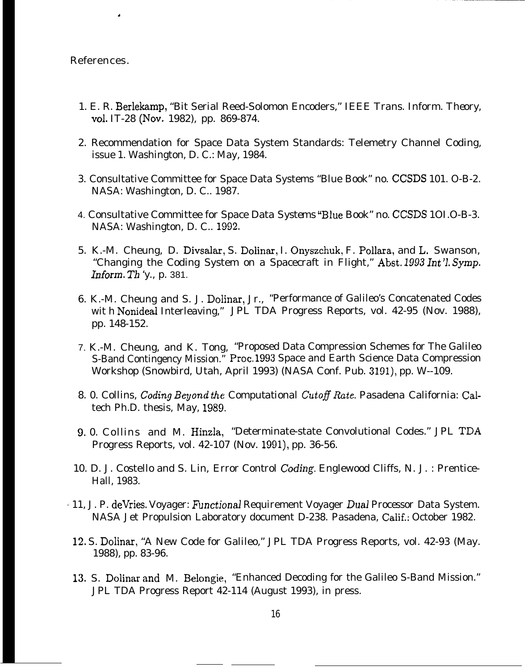References.

.

- 1. E. R. Berlekamp, "Bit Serial Reed-Solomon Encoders," *IEEE Trans. Inform. Theory, Vd.* IT-28 (Nov. 1982), pp. 869-874.
- 2. Recommendation for Space Data System Standards: Telemetry Channel Coding, issue 1. Washington, D. C.: May, 1984.
- 3. Consultative Committee for Space Data Systems "Blue Book" no. CCSDS 101. O-B-2. NASA: Washington, D. C.. 1987.
- 4. Consultative Committee for Space Data *Systems* "Blue Book" no. CCSDS 1OI.O-B-3. NASA: Washington, D. C.. 1992.
- 5. K.-M. Cheung, D. Divsalar, S. Dolinar, I. Onyszchuk, F. Pollara, and L. Swanson, "Changing the Coding System on a Spacecraft in Flight," Abst. 1993 Int'l. Symp. *Inform. Th 'y.,* p. 381.
- 6. K.-M. Cheung and S. J. Dolinar, Jr., "Performance of Galileo's Concatenated Codes wit h Nonideal Interleaving," JPL TDA Progress Reports, vol. 42-95 (Nov. 1988), pp. 148-152.
- 7. K.-M. Cheung, and K. Tong, "Proposed Data Compression Schemes for The Galileo S-Band Contingency Mission." Proc. 1993 Space and Earth Science Data Compression Workshop (Snowbird, Utah, April 1993) (NASA Conf. Pub. 3191), pp. W--109.
- 8. 0. Collins, *Coding Beyond the Computational Cutofl Rate.* Pasadena California: Caltech Ph.D. thesis, May, 1989.
- 9. 0. Collins and M. Hinzla, "Determinate-state Convolutional Codes." JPL TDA Progress Reports, vol. 42-107 (Nov. 1991), pp. 36-56.
- 10. D. J. Costello and S. Lin, *Error Control Coding.* Englewood Cliffs, N. J. : Prentice-Hall, 1983.
- ~~ 11, J. P. deVries. Voyager: Z3mctionaJ Requirement Voyager *Dual Processor* Data System. NASA Jet Propulsion Laboratory document D-238. Pasadena, Calif.: October 1982.
- 12. S. Dolinar, "A New Code for Galileo," JPL TDA Progress Reports, vol. 42-93 (May. 1988), pp. 83-96.
- 13. S. Dolinar and M. Belongie, "Enhanced Decoding for the Galileo S-Band Mission." JPL TDA Progress Report 42-114 (August 1993), in press.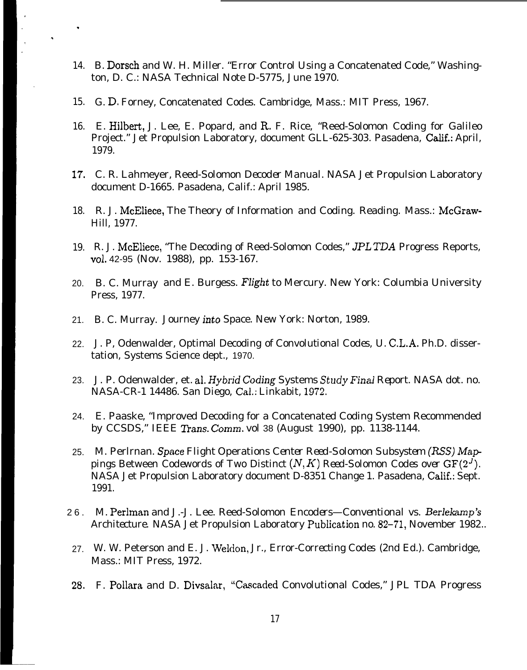- 14. B. Dorsch and W. H. Miller. "Error Control Using a Concatenated Code," Washington, D. C.: NASA Technical Note D-5775, June 1970.
- 15. G. D. Forney, Concatenated *Codes.* Cambridge, Mass.: MIT Press, 1967.

.

.

- 16. E. Hilbert, J. Lee, E. Popard, and R. F. Rice, "Reed-Solomon Coding for Galileo Project." Jet Propulsion Laboratory, document GLL-625-303. Pasadena, Calif.: April, 1979.
- 17. C. R. Lahmeyer, Reed-Solomon *Decoder Manual.* NASA Jet Propulsion Laboratory document D-1665. Pasadena, Calif.: April 1985.
- 18. R. J. McEliece, The Theory of Information and Coding. Reading. Mass.: McGraw-Hill, 1977.
- 19. R. J. McEliece, "The Decoding of Reed-Solomon Codes," JPL TDA Progress Reports, VO1. 42-95 (Nov. 1988), pp. 153-167.
- 20. B. C. Murray and E. Burgess. *Flight* to Mercury. New York: Columbia University Press, 1977.
- 21. B. C. Murray. Journey *into* Space. New York: Norton, 1989.
- 22. J. P, Odenwalder, Optimal Decoding *of Convolutional Codes,* U. C.L.A. Ph.D. dissertation, Systems Science dept., 1970.
- 23. J. P. Odenwalder, et. al. Hybrid Coding Systems Study *Final Report.* NASA dot. no. NASA-CR-1 14486. San Diego, Cai.: Linkabit, 1972.
- 24. E. Paaske, "Improved Decoding for a Concatenated Coding System Recommended by CCSDS," *IEEE ZYans. Comm.* vol 38 (August 1990), pp. 1138-1144.
- 25. M. Perlrnan. *Space Flight* Operations *Center Reed-Solomon Subsystem (RSS) Mappings* Between *Codewords of Two* Distinct (N, K) *Reed-Solomon Codes over GF(2']).* NASA Jet Propulsion Laboratory document D-8351 Change 1. Pasadena, Calif.: Sept. 1991.
- 26. M. Perlman and J.-J. Lee. Reed-Solomon *Encoders—Conventional vs. Berlekamp's Architecture.* NASA Jet Propulsion Laboratory publication no. 82-71, November 1982..
- 27. W. W. Peterson and E. J. Weldon, Jr., *Error-Correcting Codes* (2nd Ed.). Cambridge, Mass.: MIT Press, 1972.
- 28. F. Pollara and D. Divsalar, "Cascaded Convolutional Codes," JPL TDA Progress